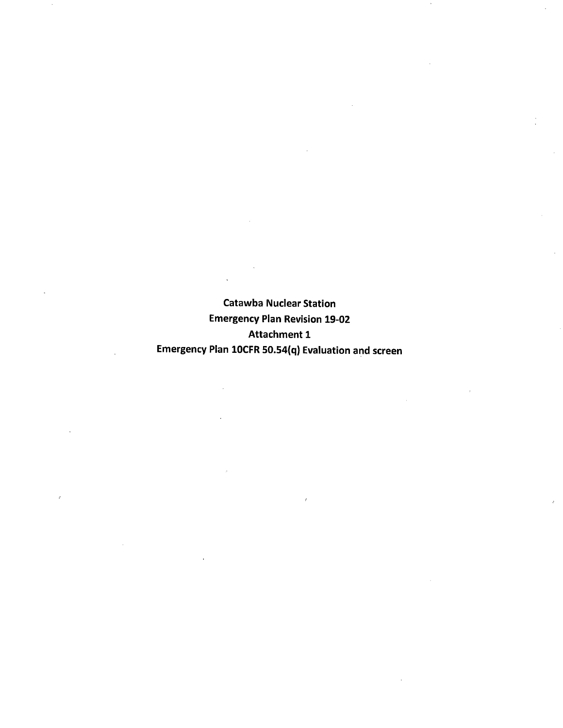Catawba Nuclear Station Emergency Plan Revision 19-02 Attachment 1 Emergency Plan 10CFR 50.54{q) Evaluation and screen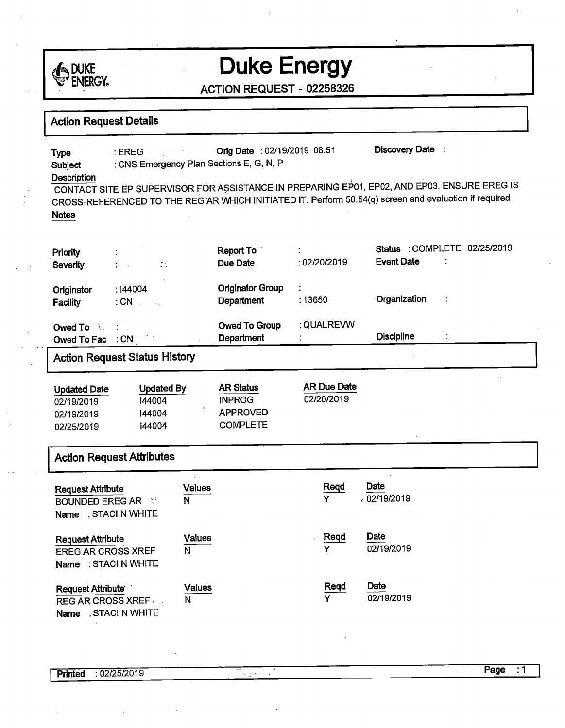

#### ACTION REQUEST - 02258326

### **Action Request Details**

Type : EREG . Orig Date : 02/19/2019 08:51 Discovery Date : **Subject** : CNS Emergency Plan Sections E, G, N, <sup>P</sup>  $\blacksquare$  . The contribution of  $\blacksquare$  . The contribution of  $\blacksquare$  ,  $\blacksquare$  ,  $\blacksquare$  ,  $\blacksquare$  ,  $\blacksquare$  ,  $\blacksquare$  ,  $\blacksquare$  ,  $\blacksquare$  ,  $\blacksquare$  ,  $\blacksquare$  ,  $\blacksquare$  ,  $\blacksquare$  ,  $\blacksquare$  ,  $\blacksquare$  ,  $\blacksquare$  ,  $\blacksquare$  ,  $\blacksquare$  ,  $\blacksquare$  , CONTACT SITE EP SUPERVISOR FOR A\$SISTANCE IN PREPARING EP01, EP02, AND EP03. ENSURE EREG IS CROSS-REFERENCED TO THE REG AR WHICH INITIATED IT. Perform 50.54(q) screen and evaluation if required **Notes** 

| Priority<br><b>Severity</b>                                                                                                                                                                                                                       | in all<br>÷                    | <b>Report To</b><br>Due Date                 | $\bullet$<br>: 02/20/2019 | Status : COMPLETE 02/25/2019<br><b>Event Date</b><br>÷ |
|---------------------------------------------------------------------------------------------------------------------------------------------------------------------------------------------------------------------------------------------------|--------------------------------|----------------------------------------------|---------------------------|--------------------------------------------------------|
| Originator<br><b>Facility</b>                                                                                                                                                                                                                     | : 144004<br>$:$ CN<br>$\sim$ . | <b>Originator Group</b><br><b>Department</b> | ÷<br>: 13650              | Organization<br>$\sim$ 1                               |
| Owed To the Second Second Second Second Second Second Second Second Second Second Second Second Second Second Second Second Second Second Second Second Second Second Second Second Second Second Second Second Second Second<br>Owed To Fac : CN |                                | <b>Owed To Group</b><br>Department           | : QUALREVW<br>$\bullet$   | <b>Discipline</b>                                      |

### Action Request Status History

| <b>Updated Date</b> | <b>Updated By</b> | <b>AR Status</b> | AR Due Date |
|---------------------|-------------------|------------------|-------------|
| 02/19/2019          | 144004            | <b>INPROG</b>    | 02/20/2019  |
| 02/19/2019          | 144004            | <b>APPROVED</b>  |             |
| 02/25/2019          | 144004            | <b>COMPLETE</b>  |             |

#### **Action Request Attributes**

-

| <b>Request Attribute</b><br><b>BOUNDED EREG AR FRIDE</b><br>Name: STACI N WHITE | <b>Values</b><br>N | Regd<br>Y | Date<br>.02/19/2019 |
|---------------------------------------------------------------------------------|--------------------|-----------|---------------------|
| <b>Request Attribute</b><br><b>EREG AR CROSS XREF</b><br>Name: STACI N WHITE    | Values<br>N        | Reqd<br>Y | Date<br>02/19/2019  |
| <b>Request Attribute</b><br><b>REG AR CROSS XREF</b><br>Name: STACI N WHITE     | <b>Values</b><br>N | Reqd<br>Y | Date<br>02/19/2019  |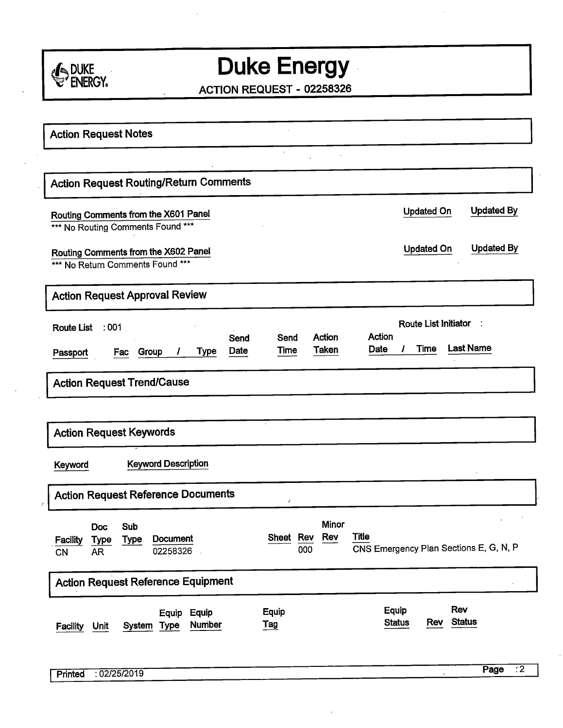

ACTION REQUEST - 02258326

| <b>Action Request Notes</b>                                                                                   |                                                                                                                          |
|---------------------------------------------------------------------------------------------------------------|--------------------------------------------------------------------------------------------------------------------------|
|                                                                                                               | $\cdot$                                                                                                                  |
| <b>Action Request Routing/Return Comments</b>                                                                 |                                                                                                                          |
| Routing Comments from the X601 Panel<br>*** No Routing Comments Found ***                                     | <b>Updated By</b><br><b>Updated On</b>                                                                                   |
| Routing Comments from the X602 Panel<br>*** No Return Comments Found ***                                      | <b>Updated By</b><br><b>Updated On</b>                                                                                   |
| <b>Action Request Approval Review</b>                                                                         |                                                                                                                          |
| $\therefore$ 001<br><b>Route List</b><br>Send<br>Date<br>Fac Group<br>Type<br>Passport                        | Route List Initiator<br>Action<br>Action<br>Send<br><b>Last Name</b><br><b>Time</b><br>Date<br><b>Taken</b><br>1<br>Time |
| <b>Action Request Trend/Cause</b>                                                                             |                                                                                                                          |
| <b>Action Request Keywords</b>                                                                                |                                                                                                                          |
| <b>Keyword Description</b><br>Keyword                                                                         |                                                                                                                          |
| <b>Action Request Reference Documents</b>                                                                     | ÷                                                                                                                        |
| Sub<br>Doc<br><b>Document</b><br><b>Facility</b><br><b>Type</b><br><b>Type</b><br>02258326<br><b>AR</b><br>CN | Minor<br><b>Title</b><br>Rev<br>Sheet Rev<br>CNS Emergency Plan Sections E, G, N, P<br>000                               |
| <b>Action Request Reference Equipment</b>                                                                     |                                                                                                                          |
| Equip<br>Equip<br><b>Number</b><br>System Type<br><b>Facility</b><br>Unit                                     | Rev<br>Equip<br><b>Equip</b><br>Status<br><b>Status</b><br>Rev<br><u>Tag</u>                                             |
| : 02/25/2019<br>Printed                                                                                       | Page<br>$\overline{.2}$                                                                                                  |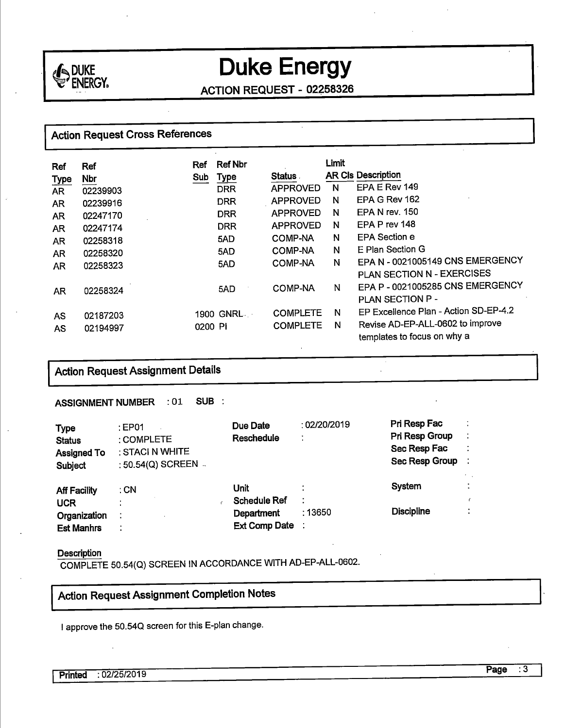

ACTION REQUEST - 02Z58326

## Action Request Cross References

| Ref         | Ref        | Ref     | <b>Ref Nbr</b> |                 | Limit |                                       |
|-------------|------------|---------|----------------|-----------------|-------|---------------------------------------|
| <b>Type</b> | <b>Nbr</b> | Sub     | Type           | <b>Status</b>   |       | <b>AR CIs Description</b>             |
| <b>AR</b>   | 02239903   |         | <b>DRR</b>     | <b>APPROVED</b> | N     | EPA E Rev 149                         |
| AR.         | 02239916   |         | <b>DRR</b>     | <b>APPROVED</b> | N     | EPA G Rev 162                         |
| AR          | 02247170   |         | <b>DRR</b>     | <b>APPROVED</b> | N     | FPA N rev. 150                        |
| AR.         | 02247174   |         | <b>DRR</b>     | <b>APPROVED</b> | N     | EPA P rev 148                         |
| <b>AR</b>   | 02258318   |         | 5AD            | <b>COMP-NA</b>  | N     | <b>EPA Section e</b>                  |
| <b>AR</b>   | 02258320   |         | 5AD            | <b>COMP-NA</b>  | N     | E Plan Section G                      |
| AR          | 02258323   |         | 5AD            | <b>COMP-NA</b>  | N     | EPA N - 0021005149 CNS EMERGENCY      |
|             |            |         |                |                 |       | PLAN SECTION N - EXERCISES            |
| <b>AR</b>   | 02258324   |         | 5AD            | <b>COMP-NA</b>  | N     | EPA P - 0021005285 CNS EMERGENCY      |
|             |            |         |                |                 |       | <b>PLAN SECTION P -</b>               |
| <b>AS</b>   | 02187203   |         | 1900 GNRL      | <b>COMPLETE</b> | N     | EP Excellence Plan - Action SD-EP-4.2 |
|             |            | 0200 PI |                | <b>COMPLETE</b> | N     | Revise AD-EP-ALL-0602 to improve      |
| AS          | 02194997   |         |                |                 |       | templates to focus on why a           |

## I **Action Request Assignment Details**

**ASSIGNMENT NUMBER** : 01 **SUB** :

| <b>Type</b><br><b>Status</b><br><b>Assigned To</b><br>Subject | $\pm$ EP01<br>: COMPLETE<br>: STACI N WHITE<br>: 50.54(Q) SCREEN - | Due Date<br><b>Reschedule</b> | :02/20/2019<br>÷ | Pri Resp Fac<br>Pri Resp Group<br>Sec Resp Fac<br>Sec Resp Group |           |
|---------------------------------------------------------------|--------------------------------------------------------------------|-------------------------------|------------------|------------------------------------------------------------------|-----------|
| <b>Aff Facility</b>                                           | ∶CN                                                                | Unit                          |                  | System                                                           | $\bullet$ |
| <b>UCR</b>                                                    |                                                                    | <b>Schedule Ref</b>           | ٠                |                                                                  |           |
| Organization                                                  |                                                                    | Department                    | 13650∶           | <b>Discipline</b>                                                | ٠<br>٠    |
| <b>Est Manhrs</b>                                             | $\bullet$                                                          | Ext Comp Date :               |                  |                                                                  |           |

#### **Description**

COMPLETE 50.54(Q) SCREEN IN ACCORDANCE WITH AD-EP-ALL-0602.

## Action Request Assignment Completion Notes

I approve the 50.540 screen for this E-plan change.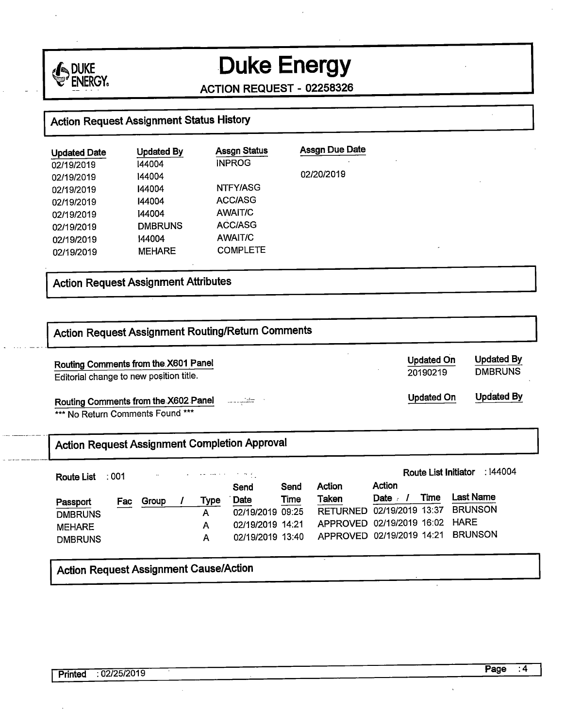

**ACTION REQUEST** - **02258326** 

## **Action Request Assignment Status History**

| <b>Updated Date</b> | <b>Updated By</b> | <b>Assgn Status</b> | <b>Assgn Due Date</b> |
|---------------------|-------------------|---------------------|-----------------------|
| 02/19/2019          | 144004            | <b>INPROG</b>       |                       |
| 02/19/2019          | 144004            |                     | 02/20/2019            |
| 02/19/2019          | 144004            | NTFY/ASG            |                       |
| 02/19/2019          | 144004            | ACC/ASG             |                       |
| 02/19/2019          | 144004            | AWAIT/C             |                       |
| 02/19/2019          | <b>DMBRUNS</b>    | <b>ACC/ASG</b>      |                       |
| 02/19/2019          | 144004            | AWAIT/C             |                       |
| 02/19/2019          | <b>MEHARE</b>     | <b>COMPLETE</b>     |                       |

## I **Action Request Assignment Attributes**

| Routing Comments from the X601 Panel                 |                                                                                                                             |       |  |             |                  |      |                 |                   | <b>Updated On</b><br>20190219 | <b>Updated By</b><br><b>DMBRUNS</b> |
|------------------------------------------------------|-----------------------------------------------------------------------------------------------------------------------------|-------|--|-------------|------------------|------|-----------------|-------------------|-------------------------------|-------------------------------------|
|                                                      | Editorial change to new position title.<br>كقتب<br>Routing Comments from the X602 Panel<br>*** No Return Comments Found *** |       |  |             |                  |      |                 | <b>Updated On</b> | <b>Updated By</b>             |                                     |
|                                                      |                                                                                                                             |       |  |             |                  |      |                 |                   |                               |                                     |
| <b>Action Request Assignment Completion Approval</b> |                                                                                                                             |       |  |             |                  |      |                 |                   |                               |                                     |
|                                                      |                                                                                                                             |       |  |             |                  |      |                 |                   | <b>Route List Initiator</b>   |                                     |
| <b>Route List</b>                                    | :001                                                                                                                        |       |  |             | Send             | Send | Action          | Action            |                               |                                     |
|                                                      |                                                                                                                             | Group |  | <b>Type</b> | Date             | Time | <b>Taken</b>    | Date $\sqrt{ }$   | Time                          | : 144004<br><b>Last Name</b>        |
| Passport                                             | Fac                                                                                                                         |       |  | A           | 02/19/2019 09:25 |      | <b>RETURNED</b> | 02/19/2019 13:37  |                               | <b>BRUNSON</b>                      |
| <b>DMBRUNS</b><br><b>MEHARE</b>                      |                                                                                                                             |       |  | A           | 02/19/2019 14:21 |      | <b>APPROVED</b> | 02/19/2019 16:02  |                               | <b>HARE</b>                         |

Action Request Assignment Cause/Action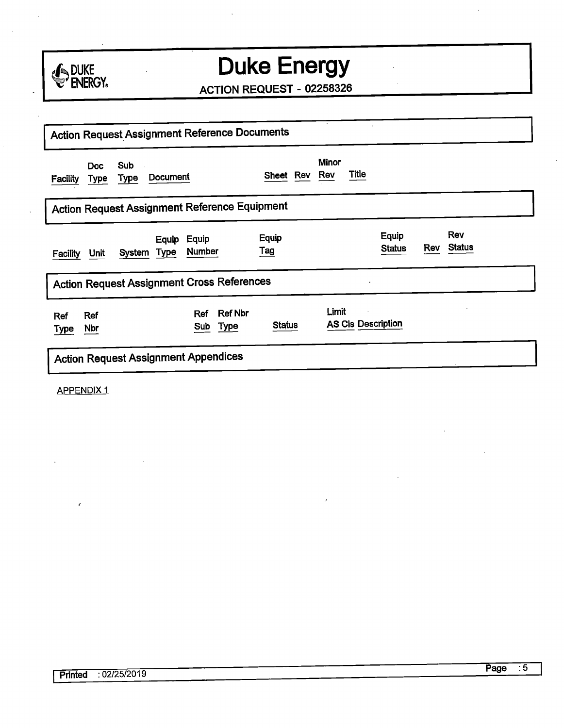

ACTION REQUEST - 02258326

| $\cdot$<br><b>Action Request Assignment Reference Documents</b>                       |               |                                     |                             |  |  |  |  |  |
|---------------------------------------------------------------------------------------|---------------|-------------------------------------|-----------------------------|--|--|--|--|--|
| <b>Sub</b><br><b>Doc</b><br><b>Document</b><br><b>Type</b><br><b>Facility</b><br>Type | Sheet Rev     | <b>Minor</b><br><b>Title</b><br>Rev |                             |  |  |  |  |  |
| <b>Action Request Assignment Reference Equipment</b>                                  |               |                                     |                             |  |  |  |  |  |
| Equip<br>Equip<br><b>Number</b><br><b>Type</b><br>System<br>Unit<br><b>Facility</b>   | Equip<br>Tag  | Equip<br><b>Status</b>              | Rev<br><b>Status</b><br>Rev |  |  |  |  |  |
| <b>Action Request Assignment Cross References</b>                                     |               |                                     |                             |  |  |  |  |  |
| <b>Ref Nbr</b><br>Ref<br>Ref<br>Ref<br><b>Type</b><br>Sub<br>Nbr<br><b>Type</b>       | <b>Status</b> | Limit<br><b>AS CIs Description</b>  |                             |  |  |  |  |  |
| <b>Action Request Assignment Appendices</b>                                           |               |                                     |                             |  |  |  |  |  |

APPENDIX 1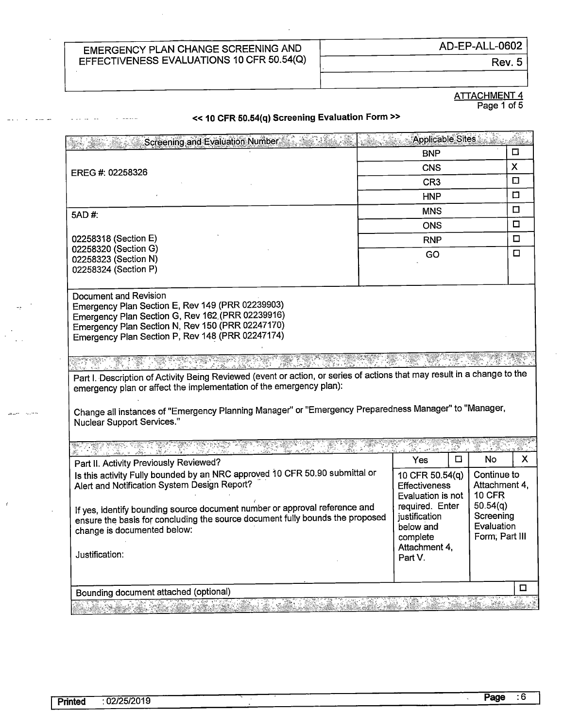Rev. 5

#### ATTACHMENT 4 Page 1 of 5

#### « **10 CFR50.54(q) Screening Evaluation Form»**

| □<br><b>BNP</b><br>X<br><b>CNS</b><br>EREG #: 02258326<br>$\Box$<br>CR <sub>3</sub><br>□<br><b>HNP</b><br>□<br><b>MNS</b><br>5AD #:<br>□<br><b>ONS</b><br>□<br><b>RNP</b><br>02258320 (Section G)<br>□<br>GO<br>02258323 (Section N)<br>02258324 (Section P)<br>Part I. Description of Activity Being Reviewed (event or action, or series of actions that may result in a change to the<br>Change all instances of "Emergency Planning Manager" or "Emergency Preparedness Manager" to "Manager,<br><b>Nuclear Support Services."</b><br>31 de 12 de de<br>◻<br>No<br>Yes<br>Part II. Activity Previously Reviewed?<br>Is this activity Fully bounded by an NRC approved 10 CFR 50.90 submittal or<br>Continue to<br>10 CFR 50.54(q)<br>Alert and Notification System Design Report?<br>Attachment 4,<br><b>Effectiveness</b><br><b>10 CFR</b><br>Evaluation is not<br>50.54(q)<br>required. Enter<br>If yes, identify bounding source document number or approval reference and<br>Screening<br>justification<br>ensure the basis for concluding the source document fully bounds the proposed<br>Evaluation<br>below and<br>change is documented below:<br>Form; Part III<br>complete<br>Attachment 4,<br>Justification:<br>Part V.<br>$\Box$<br>Bounding document attached (optional)<br>$\mathcal{F} = \mathcal{F} \mathcal{F}$<br>$\mathcal{A}^{\mathcal{A}}$ | Screening and Evaluation Number                                                                                                                                                                                                       |  | Applicable Sites |  |   |
|---------------------------------------------------------------------------------------------------------------------------------------------------------------------------------------------------------------------------------------------------------------------------------------------------------------------------------------------------------------------------------------------------------------------------------------------------------------------------------------------------------------------------------------------------------------------------------------------------------------------------------------------------------------------------------------------------------------------------------------------------------------------------------------------------------------------------------------------------------------------------------------------------------------------------------------------------------------------------------------------------------------------------------------------------------------------------------------------------------------------------------------------------------------------------------------------------------------------------------------------------------------------------------------------------------------------------------------------------------------------|---------------------------------------------------------------------------------------------------------------------------------------------------------------------------------------------------------------------------------------|--|------------------|--|---|
|                                                                                                                                                                                                                                                                                                                                                                                                                                                                                                                                                                                                                                                                                                                                                                                                                                                                                                                                                                                                                                                                                                                                                                                                                                                                                                                                                                     |                                                                                                                                                                                                                                       |  |                  |  |   |
|                                                                                                                                                                                                                                                                                                                                                                                                                                                                                                                                                                                                                                                                                                                                                                                                                                                                                                                                                                                                                                                                                                                                                                                                                                                                                                                                                                     |                                                                                                                                                                                                                                       |  |                  |  |   |
|                                                                                                                                                                                                                                                                                                                                                                                                                                                                                                                                                                                                                                                                                                                                                                                                                                                                                                                                                                                                                                                                                                                                                                                                                                                                                                                                                                     |                                                                                                                                                                                                                                       |  |                  |  |   |
|                                                                                                                                                                                                                                                                                                                                                                                                                                                                                                                                                                                                                                                                                                                                                                                                                                                                                                                                                                                                                                                                                                                                                                                                                                                                                                                                                                     |                                                                                                                                                                                                                                       |  |                  |  |   |
|                                                                                                                                                                                                                                                                                                                                                                                                                                                                                                                                                                                                                                                                                                                                                                                                                                                                                                                                                                                                                                                                                                                                                                                                                                                                                                                                                                     |                                                                                                                                                                                                                                       |  |                  |  |   |
|                                                                                                                                                                                                                                                                                                                                                                                                                                                                                                                                                                                                                                                                                                                                                                                                                                                                                                                                                                                                                                                                                                                                                                                                                                                                                                                                                                     |                                                                                                                                                                                                                                       |  |                  |  |   |
|                                                                                                                                                                                                                                                                                                                                                                                                                                                                                                                                                                                                                                                                                                                                                                                                                                                                                                                                                                                                                                                                                                                                                                                                                                                                                                                                                                     | 02258318 (Section E)                                                                                                                                                                                                                  |  |                  |  |   |
|                                                                                                                                                                                                                                                                                                                                                                                                                                                                                                                                                                                                                                                                                                                                                                                                                                                                                                                                                                                                                                                                                                                                                                                                                                                                                                                                                                     |                                                                                                                                                                                                                                       |  |                  |  |   |
|                                                                                                                                                                                                                                                                                                                                                                                                                                                                                                                                                                                                                                                                                                                                                                                                                                                                                                                                                                                                                                                                                                                                                                                                                                                                                                                                                                     |                                                                                                                                                                                                                                       |  |                  |  |   |
|                                                                                                                                                                                                                                                                                                                                                                                                                                                                                                                                                                                                                                                                                                                                                                                                                                                                                                                                                                                                                                                                                                                                                                                                                                                                                                                                                                     |                                                                                                                                                                                                                                       |  |                  |  |   |
|                                                                                                                                                                                                                                                                                                                                                                                                                                                                                                                                                                                                                                                                                                                                                                                                                                                                                                                                                                                                                                                                                                                                                                                                                                                                                                                                                                     | Document and Revision<br>Emergency Plan Section E, Rev 149 (PRR 02239903)<br>Emergency Plan Section G, Rev 162 (PRR 02239916)<br>Emergency Plan Section N, Rev 150 (PRR 02247170)<br>Emergency Plan Section P, Rev 148 (PRR 02247174) |  |                  |  |   |
|                                                                                                                                                                                                                                                                                                                                                                                                                                                                                                                                                                                                                                                                                                                                                                                                                                                                                                                                                                                                                                                                                                                                                                                                                                                                                                                                                                     | emergency plan or affect the implementation of the emergency plan):                                                                                                                                                                   |  |                  |  |   |
|                                                                                                                                                                                                                                                                                                                                                                                                                                                                                                                                                                                                                                                                                                                                                                                                                                                                                                                                                                                                                                                                                                                                                                                                                                                                                                                                                                     |                                                                                                                                                                                                                                       |  |                  |  |   |
|                                                                                                                                                                                                                                                                                                                                                                                                                                                                                                                                                                                                                                                                                                                                                                                                                                                                                                                                                                                                                                                                                                                                                                                                                                                                                                                                                                     |                                                                                                                                                                                                                                       |  |                  |  | X |
|                                                                                                                                                                                                                                                                                                                                                                                                                                                                                                                                                                                                                                                                                                                                                                                                                                                                                                                                                                                                                                                                                                                                                                                                                                                                                                                                                                     |                                                                                                                                                                                                                                       |  |                  |  |   |
|                                                                                                                                                                                                                                                                                                                                                                                                                                                                                                                                                                                                                                                                                                                                                                                                                                                                                                                                                                                                                                                                                                                                                                                                                                                                                                                                                                     |                                                                                                                                                                                                                                       |  |                  |  |   |
|                                                                                                                                                                                                                                                                                                                                                                                                                                                                                                                                                                                                                                                                                                                                                                                                                                                                                                                                                                                                                                                                                                                                                                                                                                                                                                                                                                     |                                                                                                                                                                                                                                       |  |                  |  |   |

للمريد

 $\epsilon$ 

 $\ddot{\phantom{a}}$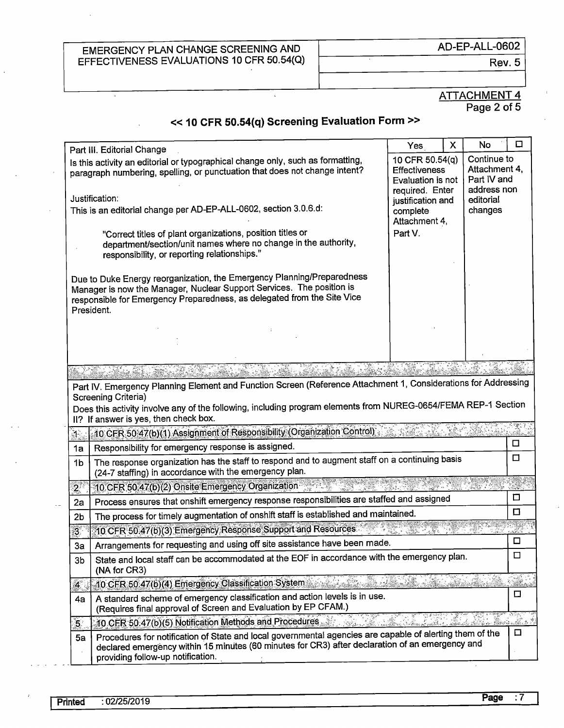$\overline{\cdot}$ 

AD-EP-ALL-0602

Rev. 5

٦

#### ATTACHMENT 4 Page 2 of 5

### << **10 CFR 50.54(q) Screening Evaluation Form>>**

 $\mathbf{A}$ 

|                         | Part III. Editorial Change                                                                                                                                                                                                                       | Yes                                                                             | X | <b>No</b>                                                  | □             |
|-------------------------|--------------------------------------------------------------------------------------------------------------------------------------------------------------------------------------------------------------------------------------------------|---------------------------------------------------------------------------------|---|------------------------------------------------------------|---------------|
|                         | Is this activity an editorial or typographical change only, such as formatting,<br>paragraph numbering, spelling, or punctuation that does not change intent?                                                                                    | 10 CFR 50.54(q)<br><b>Effectiveness</b><br>Evaluation is not<br>required. Enter |   | Continue to<br>Attachment 4,<br>Part IV and<br>address non |               |
|                         | Justification:<br>This is an editorial change per AD-EP-ALL-0602, section 3.0.6.d:                                                                                                                                                               | justification and<br>complete                                                   |   | editorial<br>changes                                       |               |
|                         | "Correct titles of plant organizations, position titles or<br>department/section/unit names where no change in the authority,<br>responsibility, or reporting relationships."                                                                    | Attachment 4,<br>Part V.                                                        |   |                                                            |               |
|                         | Due to Duke Energy reorganization, the Emergency Planning/Preparedness<br>Manager is now the Manager, Nuclear Support Services. The position is<br>responsible for Emergency Preparedness, as delegated from the Site Vice<br>President.         |                                                                                 |   |                                                            |               |
|                         |                                                                                                                                                                                                                                                  |                                                                                 |   |                                                            |               |
|                         |                                                                                                                                                                                                                                                  |                                                                                 |   |                                                            |               |
|                         |                                                                                                                                                                                                                                                  |                                                                                 |   |                                                            |               |
|                         | Part IV. Emergency Planning Element and Function Screen (Reference Attachment 1, Considerations for Addressing                                                                                                                                   |                                                                                 |   |                                                            |               |
|                         | Screening Criteria)<br>Does this activity involve any of the following, including program elements from NUREG-0654/FEMA REP-1 Section                                                                                                            |                                                                                 |   |                                                            |               |
|                         | II? If answer is yes, then check box.                                                                                                                                                                                                            |                                                                                 |   |                                                            |               |
| ો                       | 10 CFR 50:47(b)(1) Assignment of Responsibility (Organization Control)                                                                                                                                                                           |                                                                                 |   |                                                            |               |
| 1a                      | Responsibility for emergency response is assigned.                                                                                                                                                                                               |                                                                                 |   |                                                            | □             |
| 1 <sub>b</sub>          | The response organization has the staff to respond and to augment staff on a continuing basis<br>(24-7 staffing) in accordance with the emergency plan.                                                                                          |                                                                                 |   |                                                            | □             |
| $2^{\frac{1}{2}}$       | 10 CFR 50.47(b)(2) Onsite Emergency Organization                                                                                                                                                                                                 |                                                                                 |   |                                                            |               |
| 2a                      | Process ensures that onshift emergency response responsibilities are staffed and assigned                                                                                                                                                        |                                                                                 |   |                                                            | □             |
| 2 <sub>b</sub>          | The process for timely augmentation of onshift staff is established and maintained.                                                                                                                                                              |                                                                                 |   |                                                            | □             |
| $3^{\circ}$             | 10 CFR 50.47(b)(3) Emergency, Response Support and Resources                                                                                                                                                                                     |                                                                                 |   |                                                            |               |
| 3a                      | Arrangements for requesting and using off site assistance have been made.                                                                                                                                                                        |                                                                                 |   |                                                            | □             |
| 3 <sub>b</sub>          | State and local staff can be accommodated at the EOF in accordance with the emergency plan.<br>(NA for CR3)                                                                                                                                      |                                                                                 |   |                                                            | $\Box$        |
| $\overline{4}$          | 10 CFR 50 47(b)(4) Emergency Classification System                                                                                                                                                                                               |                                                                                 |   |                                                            | <u>Saraha</u> |
| 4а                      | A standard scheme of emergency classification and action levels is in use.<br>(Requires final approval of Screen and Evaluation by EP CFAM.)                                                                                                     |                                                                                 |   |                                                            | □             |
| $\overline{\mathbf{5}}$ | 10 CER 50 47(b)(5) Notification Methods and Procedures.                                                                                                                                                                                          |                                                                                 |   |                                                            | ter ande      |
| 5a                      | Procedures for notification of State and local governmental agencies are capable of alerting them of the<br>declared emergency within 15 minutes (60 minutes for CR3) after declaration of an emergency and<br>providing follow-up notification. |                                                                                 |   |                                                            | □             |
|                         |                                                                                                                                                                                                                                                  |                                                                                 |   |                                                            |               |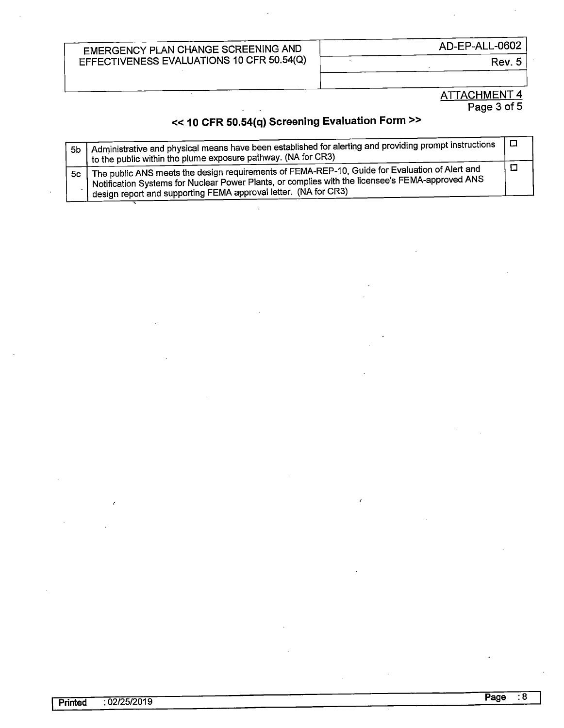...

AD-EP-ALL-0602

Rev. 5

#### ATTACHMENT 4 Page 3 of 5

## << **10 CFR 50.54(q) Screening Evaluation Form** >>

| 5 <sub>b</sub> | Administrative and physical means have been established for alerting and providing prompt instructions<br>to the public within the plume exposure pathway. (NA for CR3)                                                                                                            | $\Box$ |
|----------------|------------------------------------------------------------------------------------------------------------------------------------------------------------------------------------------------------------------------------------------------------------------------------------|--------|
| 5c             | The public ANS meets the design requirements of FEMA-REP-10, Guide for Evaluation of Alert and<br><sup>1</sup> Notification Systems for Nuclear Power Plants, or complies with the licensee's FEMA-approved ANS<br>design report and supporting FEMA approval letter. (NA for CR3) | п      |

 $\overline{a}$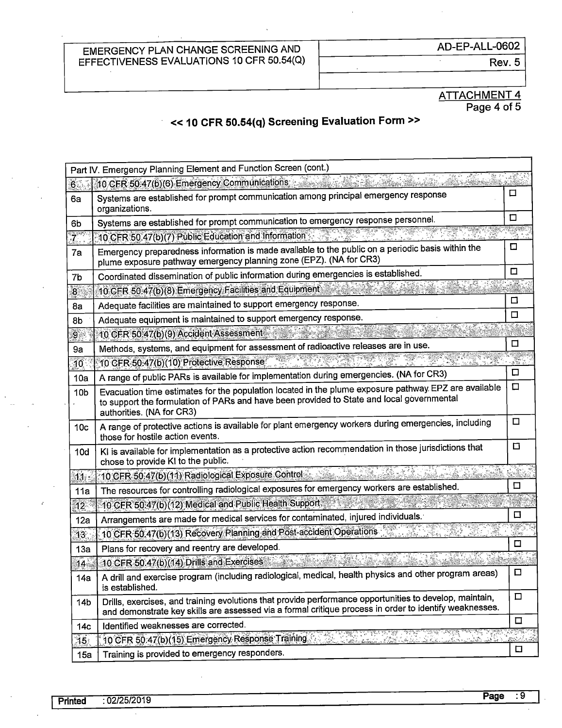$\hat{\mathbf{r}}$ 

AD-EP-ALL-0602

Ţ

Rev.5

ATTACHMENT 4 Page 4 of 5

### << **10 CFR 50.54(q) Screening Evaluation Form** >>

| Part IV. Emergency Planning Element and Function Screen (cont.) |                                                                                                                                                                                                                                |             |  |  |  |
|-----------------------------------------------------------------|--------------------------------------------------------------------------------------------------------------------------------------------------------------------------------------------------------------------------------|-------------|--|--|--|
| 6.37                                                            | 10 CFR 50 47(b)(6) Emergency Communications                                                                                                                                                                                    |             |  |  |  |
| 6a                                                              | Systems are established for prompt communication among principal emergency response<br>organizations.                                                                                                                          |             |  |  |  |
| 6b                                                              | Systems are established for prompt communication to emergency response personnel.                                                                                                                                              | ◻<br>e B    |  |  |  |
| $7^{\circ}$                                                     | 10 CFR 50.47(b)(7) Public Education and Information                                                                                                                                                                            |             |  |  |  |
| 7a                                                              | Emergency preparedness information is made available to the public on a periodic basis within the<br>plume exposure pathway emergency planning zone (EPZ). (NA for CR3)                                                        |             |  |  |  |
| 7b                                                              | Coordinated dissemination of public information during emergencies is established.                                                                                                                                             |             |  |  |  |
| 8 <sup>1</sup>                                                  | 10 CER 50:47(b)(8) Emergency Facilities and Equipment                                                                                                                                                                          |             |  |  |  |
| 8a                                                              | Adequate facilities are maintained to support emergency response.                                                                                                                                                              | □<br>$\Box$ |  |  |  |
| 8b                                                              | Adequate equipment is maintained to support emergency response.                                                                                                                                                                |             |  |  |  |
| $9 -$                                                           | 10 CFR 50:47(b)(9) Accident Assessment                                                                                                                                                                                         |             |  |  |  |
| 9a                                                              | Methods, systems, and equipment for assessment of radioactive releases are in use.                                                                                                                                             | ◻           |  |  |  |
| 10                                                              | 10 CFR-50:47(b)(10) Protective Response                                                                                                                                                                                        |             |  |  |  |
| 10a                                                             | A range of public PARs is available for implementation during emergencies. (NA for CR3)                                                                                                                                        | □           |  |  |  |
| 10 <sub>b</sub>                                                 | Evacuation time estimates for the population located in the plume exposure pathway EPZ are available<br>to support the formulation of PARs and have been provided to State and local governmental<br>authorities. (NA for CR3) | $\Box$<br>□ |  |  |  |
| 10 <sub>c</sub>                                                 | A range of protective actions is available for plant emergency workers during emergencies, including<br>those for hostile action events.                                                                                       |             |  |  |  |
| 10d                                                             | KI is available for implementation as a protective action recommendation in those jurisdictions that<br>chose to provide KI to the public.                                                                                     | □           |  |  |  |
| 11.5                                                            | 10 CFR 50:47(b)(11) Radiological Exposure Control:                                                                                                                                                                             |             |  |  |  |
| 11a                                                             | The resources for controlling radiological exposures for emergency workers are established.                                                                                                                                    | $\Box$      |  |  |  |
| 12 <sup>7</sup>                                                 | 10 CFR 50:47(b)(12) Medical and Public Health Support                                                                                                                                                                          |             |  |  |  |
| 12a                                                             | Arrangements are made for medical services for contaminated, injured individuals.                                                                                                                                              | □           |  |  |  |
| 13 <sub>1</sub>                                                 | 10 CFR 50.47(b)(13) Recovery Planning and Post-accident Operations                                                                                                                                                             |             |  |  |  |
| 13a                                                             | Plans for recovery and reentry are developed.                                                                                                                                                                                  | □           |  |  |  |
| 14 <sub>o</sub>                                                 | 10 CFR 50.47(b) (14) Drills and Exercises                                                                                                                                                                                      |             |  |  |  |
| 14a                                                             | A drill and exercise program (including radiological, medical, health physics and other program areas)<br>is established.                                                                                                      | $\Box$      |  |  |  |
| 14 <sub>b</sub>                                                 | Drills, exercises, and training evolutions that provide performance opportunities to develop, maintain,<br>and demonstrate key skills are assessed via a formal critique process in order to identify weaknesses.              | $\Box$      |  |  |  |
| 14 <sub>c</sub>                                                 | Identified weaknesses are corrected.                                                                                                                                                                                           | $\Box$      |  |  |  |
| 15.                                                             | 10 CFR 50.47(b)(15) Emergency Response Training.<br>ة الأقساطة المتحدث المتحدث                                                                                                                                                 |             |  |  |  |
| 15a                                                             | Training is provided to emergency responders.                                                                                                                                                                                  | □           |  |  |  |
|                                                                 | <u>net in Silva</u>                                                                                                                                                                                                            |             |  |  |  |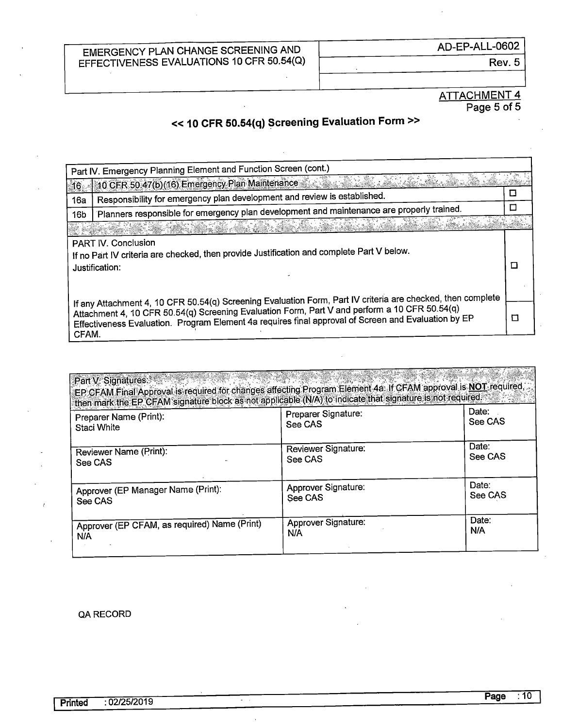Rev. 5

#### ATTACHMENT 4 Page 5 of 5

## << **10 CFR 50.54(q) Screening Evaluation Form>>**

| Part IV. Emergency Planning Element and Function Screen (cont.)                                                                    |                                                                                                                                                                                                                                                                                                                     |   |  |  |  |
|------------------------------------------------------------------------------------------------------------------------------------|---------------------------------------------------------------------------------------------------------------------------------------------------------------------------------------------------------------------------------------------------------------------------------------------------------------------|---|--|--|--|
| 16.                                                                                                                                | 10 CFR 50 47(b) (16) Emergency Plan Maintenance 2012 12:20:20:20:20:20:20:20:20:20                                                                                                                                                                                                                                  |   |  |  |  |
| 16a                                                                                                                                | Responsibility for emergency plan development and review is established.                                                                                                                                                                                                                                            |   |  |  |  |
| 16 <sub>b</sub>                                                                                                                    | Planners responsible for emergency plan development and maintenance are properly trained.                                                                                                                                                                                                                           |   |  |  |  |
|                                                                                                                                    | 그녀의 나치는 부의 물건이 가지 나지 마쳤다.                                                                                                                                                                                                                                                                                           |   |  |  |  |
| PART IV. Conclusion<br>If no Part IV criteria are checked, then provide Justification and complete Part V below.<br>Justification: |                                                                                                                                                                                                                                                                                                                     |   |  |  |  |
| CFAM.                                                                                                                              | If any Attachment 4, 10 CFR 50.54(q) Screening Evaluation Form, Part IV criteria are checked, then complete<br>Attachment 4, 10 CFR 50.54(q) Screening Evaluation Form, Part V and perform a 10 CFR 50.54(q)<br>Effectiveness Evaluation. Program Element 4a requires final approval of Screen and Evaluation by EP | П |  |  |  |

| Part V. Signatures: William State Concernsion<br>EP CFAM Final Approval is required for changes affecting Program Element 4a. If CFAM approval is NOT required,<br>then mark the EP CFAM signature block as not applicable (N/A) to indicate that signature is not required. | 10 Part Part Capt Creek |         |
|------------------------------------------------------------------------------------------------------------------------------------------------------------------------------------------------------------------------------------------------------------------------------|-------------------------|---------|
| Preparer Name (Print):                                                                                                                                                                                                                                                       | Preparer Signature:     | Date:   |
| <b>Staci White</b>                                                                                                                                                                                                                                                           | See CAS                 | See CAS |
| Reviewer Name (Print):                                                                                                                                                                                                                                                       | Reviewer Signature:     | Date:   |
| See CAS                                                                                                                                                                                                                                                                      | See CAS                 | See CAS |
| Approver (EP Manager Name (Print):                                                                                                                                                                                                                                           | Approver Signature:     | Date:   |
| See CAS                                                                                                                                                                                                                                                                      | See CAS                 | See CAS |
| Approver (EP CFAM, as required) Name (Print)                                                                                                                                                                                                                                 | Approver Signature:     | Date:   |
| N/A                                                                                                                                                                                                                                                                          | N/A                     | N/A     |

#### QA RECORD